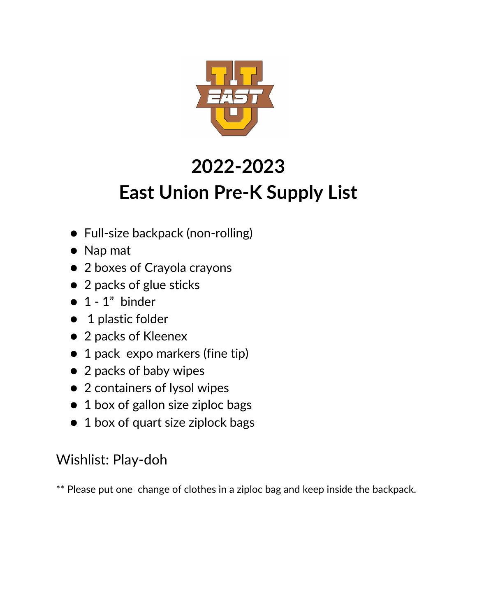

## **2022-2023 East Union Pre-K Supply List**

- Full-size backpack (non-rolling)
- Nap mat
- 2 boxes of Crayola crayons
- 2 packs of glue sticks
- $\bullet$  1 1" binder
- 1 plastic folder
- 2 packs of Kleenex
- 1 pack expo markers (fine tip)
- 2 packs of baby wipes
- 2 containers of lysol wipes
- 1 box of gallon size ziploc bags
- 1 box of quart size ziplock bags

#### Wishlist: Play-doh

\*\* Please put one change of clothes in a ziploc bag and keep inside the backpack.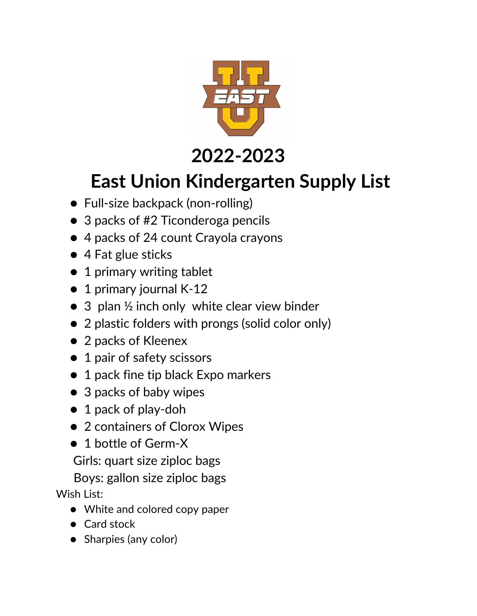

### **2022-2023**

### **East Union Kindergarten Supply List**

- Full-size backpack (non-rolling)
- 3 packs of #2 Ticonderoga pencils
- 4 packs of 24 count Crayola crayons
- 4 Fat glue sticks
- 1 primary writing tablet
- 1 primary journal K-12
- 3 plan ½ inch only white clear view binder
- 2 plastic folders with prongs (solid color only)
- 2 packs of Kleenex
- 1 pair of safety scissors
- 1 pack fine tip black Expo markers
- 3 packs of baby wipes
- 1 pack of play-doh
- 2 containers of Clorox Wipes
- 1 bottle of Germ-X

Girls: quart size ziploc bags

Boys: gallon size ziploc bags Wish List:

- White and colored copy paper
- Card stock
- Sharpies (any color)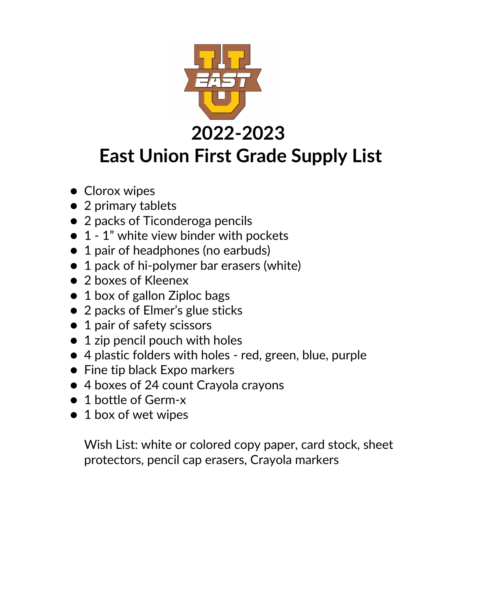

- Clorox wipes
- 2 primary tablets
- 2 packs of Ticonderoga pencils
- 1 1" white view binder with pockets
- 1 pair of headphones (no earbuds)
- 1 pack of hi-polymer bar erasers (white)
- 2 boxes of Kleenex
- 1 box of gallon Ziploc bags
- 2 packs of Elmer's glue sticks
- 1 pair of safety scissors
- 1 zip pencil pouch with holes
- 4 plastic folders with holes red, green, blue, purple
- Fine tip black Expo markers
- 4 boxes of 24 count Crayola crayons
- 1 bottle of Germ-x
- 1 box of wet wipes

Wish List: white or colored copy paper, card stock, sheet protectors, pencil cap erasers, Crayola markers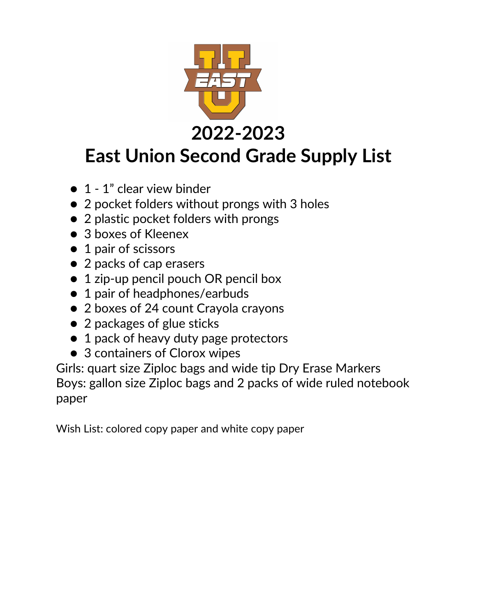

# **East Union Second Grade Supply List**

- 1 1" clear view binder
- 2 pocket folders without prongs with 3 holes
- 2 plastic pocket folders with prongs
- 3 boxes of Kleenex
- 1 pair of scissors
- 2 packs of cap erasers
- 1 zip-up pencil pouch OR pencil box
- 1 pair of headphones/earbuds
- 2 boxes of 24 count Crayola crayons
- 2 packages of glue sticks
- 1 pack of heavy duty page protectors
- 3 containers of Clorox wipes

Girls: quart size Ziploc bags and wide tip Dry Erase Markers Boys: gallon size Ziploc bags and 2 packs of wide ruled notebook paper

Wish List: colored copy paper and white copy paper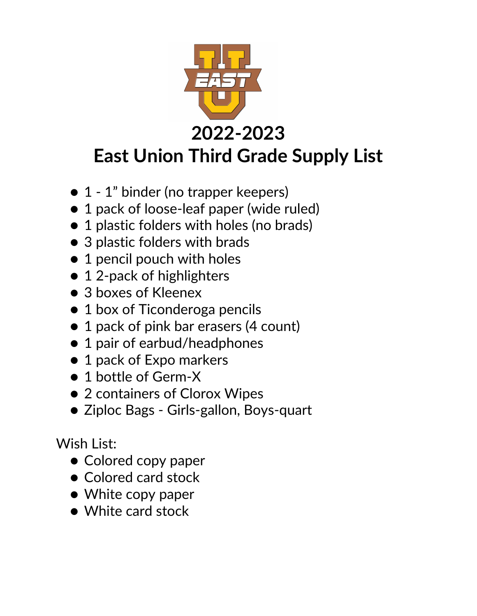

- 1 1" binder (no trapper keepers)
- 1 pack of loose-leaf paper (wide ruled)
- 1 plastic folders with holes (no brads)
- 3 plastic folders with brads
- 1 pencil pouch with holes
- 12-pack of highlighters
- 3 boxes of Kleenex
- 1 box of Ticonderoga pencils
- 1 pack of pink bar erasers (4 count)
- 1 pair of earbud/headphones
- 1 pack of Expo markers
- 1 bottle of Germ-X
- 2 containers of Clorox Wipes
- Ziploc Bags Girls-gallon, Boys-quart

Wish List:

- Colored copy paper
- Colored card stock
- White copy paper
- White card stock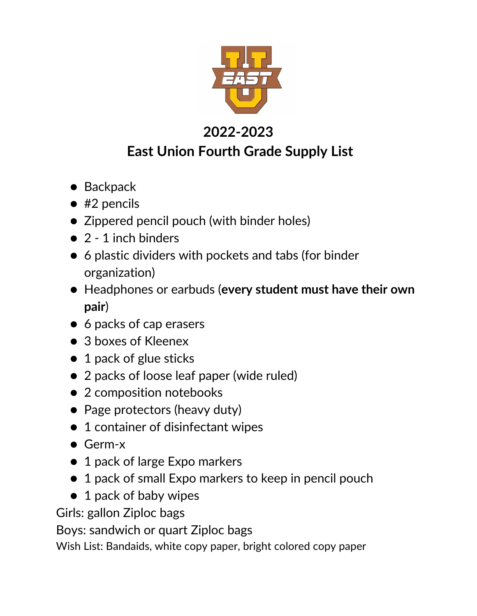

#### **2022-2023 East Union Fourth Grade Supply List**

- Backpack
- $•$  #2 pencils
- Zippered pencil pouch (with binder holes)
- 2 1 inch binders
- 6 plastic dividers with pockets and tabs (for binder organization)
- Headphones or earbuds (**every student must have their own pair**)
- 6 packs of cap erasers
- 3 boxes of Kleenex
- 1 pack of glue sticks
- 2 packs of loose leaf paper (wide ruled)
- 2 composition notebooks
- Page protectors (heavy duty)
- 1 container of disinfectant wipes
- Germ-x
- 1 pack of large Expo markers
- 1 pack of small Expo markers to keep in pencil pouch
- 1 pack of baby wipes

Girls: gallon Ziploc bags

Boys: sandwich or quart Ziploc bags

Wish List: Bandaids, white copy paper, bright colored copy paper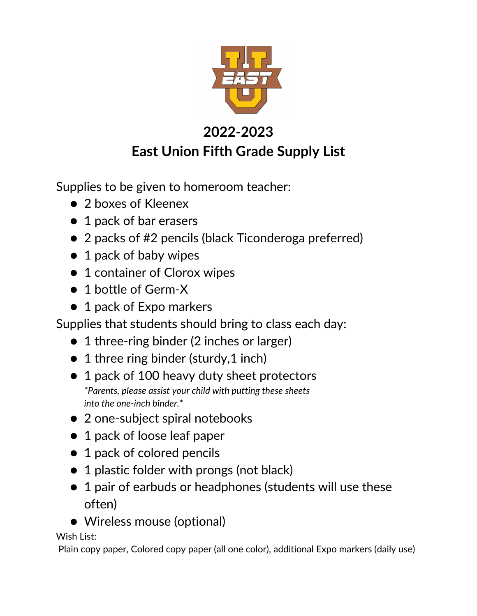

#### **2022-2023 East Union Fifth Grade Supply List**

Supplies to be given to homeroom teacher:

- 2 boxes of Kleenex
- 1 pack of bar erasers
- 2 packs of #2 pencils (black Ticonderoga preferred)
- 1 pack of baby wipes
- 1 container of Clorox wipes
- 1 bottle of Germ-X
- 1 pack of Expo markers

Supplies that students should bring to class each day:

- 1 three-ring binder (2 inches or larger)
- 1 three ring binder (sturdy, 1 inch)
- 1 pack of 100 heavy duty sheet protectors *\*Parents, please assist your child with putting these sheets into the one-inch binder.\**
- 2 one-subject spiral notebooks
- 1 pack of loose leaf paper
- 1 pack of colored pencils
- 1 plastic folder with prongs (not black)
- 1 pair of earbuds or headphones (students will use these often)
- Wireless mouse (optional)

Wish List:

Plain copy paper, Colored copy paper (all one color), additional Expo markers (daily use)